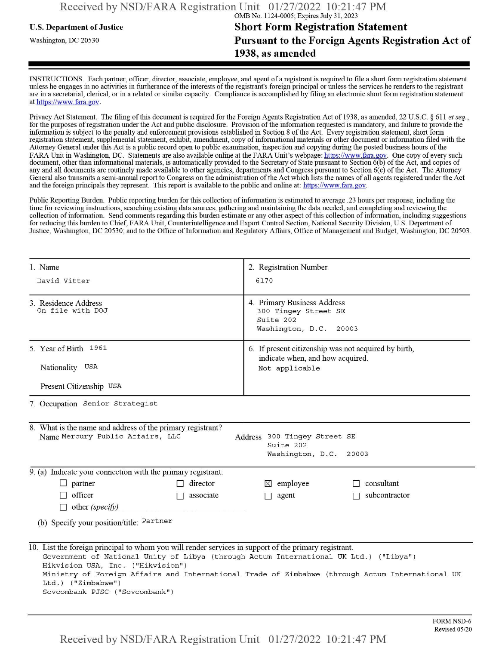# **u.s.** Department ofJustice **Short Form Registration Statement** Washington, dc <sup>20530</sup>**Pursuant to the Foreign Agents Registration Act of 1938, as amended**

INSTRUCTIONS. Each partner, officer, director, associate, employee, and agent of a registrant is required to file a short form registration statement unless he engages in no activities in furtherance ofthe interests ofthe registrant's foreign principal or unless the services he renders to the registrant are in a secretarial, clerical, or in a related or similar capacity. Compliance is accomplished by filing an electronic short form registration statement at https://www.fara.gov.

Privacy Act Statement. The filing of this document is required for the Foreign Agents Registration Act of 1938, as amended, 22 U.S.C. § 611 et seq., for the purposes ofregistration under the Act and public disclosure. Provision ofthe information requested is mandatory, and failure to provide the information is subject to the penalty and enforcement provisions established in Section 8 ofthe Act. Every registration statement, short form registration statement, supplemental statement, exhibit, amendment, copy ofinformational materials or other document or information filed with the Attorney General under this Act is a public record open to public examination, inspection and copying during the posted business hours of the FARA Unit in Washington, DC. Statements are also available online at the FARA Unit's webpage: https://www.fara.gov. One copy of every such document, other than informational materials, is automatically provided to the Secretary of State pursuant to Section 6(b) ofthe Act, and copies of any and all documents are routinely made available to other agencies, departments and Congress pursuant to Section 6(c) ofthe Act. The Attorney General also transmits a semi-annual report to Congress on the administration ofthe Act which lists the names of all agents registered under the Act and the foreign principals they represent. This report is available to the public and online at: https://www.fara.gov.

Public Reporting Burden. Public reporting burden for this collection ofinformation is estimated to average .23 hours per response, including the time for reviewing instructions, searching existing data sources, gathering and maintaining the data needed, and completing and reviewing the collection of information. Send comments regarding this burden estimate or any other aspect of this collection of information, including suggestions for reducing this burden to Chief, FARA Unit, Counterintelligence and Export Control Section, National Security Division, U.S. Department of Justice, Washington, DC 20530; and to the Office of Information and Regulatory Affairs, Office of Management and Budget, Washington, DC 20503.

| 1. Name<br>David Vitter                                                                                                                                                                                                                                                                     | 2. Registration Number<br>6170<br>4. Primary Business Address<br>300 Tingey Street SE<br>Suite 202<br>Washington, D.C. 20003 |  |  |  |  |
|---------------------------------------------------------------------------------------------------------------------------------------------------------------------------------------------------------------------------------------------------------------------------------------------|------------------------------------------------------------------------------------------------------------------------------|--|--|--|--|
| 3. Residence Address<br>On file with DOJ                                                                                                                                                                                                                                                    |                                                                                                                              |  |  |  |  |
| 5. Year of Birth 1961<br>Nationality USA                                                                                                                                                                                                                                                    | 6. If present citizenship was not acquired by birth,<br>indicate when, and how acquired.<br>Not applicable                   |  |  |  |  |
| Present Citizenship USA                                                                                                                                                                                                                                                                     |                                                                                                                              |  |  |  |  |
| 7. Occupation Senior Strategist                                                                                                                                                                                                                                                             |                                                                                                                              |  |  |  |  |
| 8. What is the name and address of the primary registrant?<br>Name Mercury Public Affairs, LLC<br>Address 300 Tingey Street SE<br>Suite 202<br>Washington, D.C. 20003                                                                                                                       |                                                                                                                              |  |  |  |  |
| 9. (a) Indicate your connection with the primary registrant:                                                                                                                                                                                                                                |                                                                                                                              |  |  |  |  |
| $\Box$ partner<br>director                                                                                                                                                                                                                                                                  | consultant<br>$\boxtimes$ employee                                                                                           |  |  |  |  |
| $\Box$ officer<br>associate<br>$\Box$<br>$\Box$ other (specify)                                                                                                                                                                                                                             | subcontractor<br>agent<br>П                                                                                                  |  |  |  |  |
| (b) Specify your position/title: Partner                                                                                                                                                                                                                                                    |                                                                                                                              |  |  |  |  |
| 10. List the foreign principal to whom you will render services in support of the primary registrant.<br>Government of National Unity of Libya (through Actum International UK Ltd.) ("Libya")<br>Hikvision USA, Inc. ("Hikvision")<br>Ltd.) ("Zimbabwe")<br>Sovcombank PJSC ("Sovcombank") | Ministry of Foreign Affairs and International Trade of Zimbabwe (through Actum International UK                              |  |  |  |  |

Received by NSD/FARA Registration Unit 01/27/2022 10:21:47 PM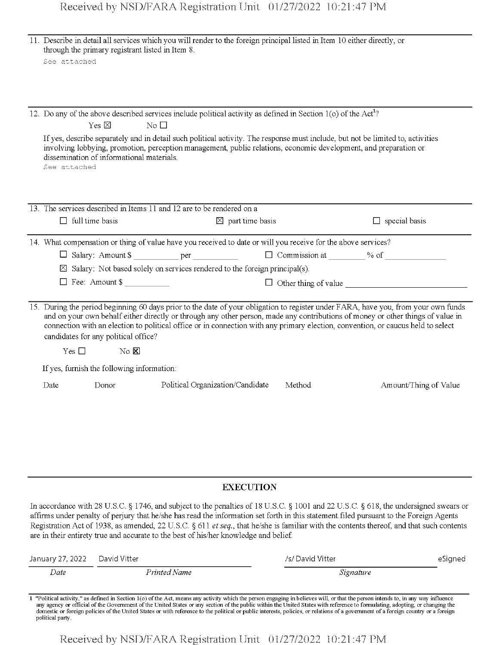|                  | See attached                                                                                        | 11. Describe in detail all services which you will render to the foreign principal listed in Item 10 either directly, or<br>through the primary registrant listed in Item 8.                                                                                                                                                                                                                                                                                                                                       |                             |                 |                             |         |
|------------------|-----------------------------------------------------------------------------------------------------|--------------------------------------------------------------------------------------------------------------------------------------------------------------------------------------------------------------------------------------------------------------------------------------------------------------------------------------------------------------------------------------------------------------------------------------------------------------------------------------------------------------------|-----------------------------|-----------------|-----------------------------|---------|
|                  |                                                                                                     |                                                                                                                                                                                                                                                                                                                                                                                                                                                                                                                    |                             |                 |                             |         |
|                  | Yes $\boxtimes$                                                                                     | 12. Do any of the above described services include political activity as defined in Section 1(o) of the Act <sup>1</sup> ?<br>No $\Box$                                                                                                                                                                                                                                                                                                                                                                            |                             |                 |                             |         |
|                  | dissemination of informational materials.<br>See attached                                           | If yes, describe separately and in detail such political activity. The response must include, but not be limited to, activities<br>involving lobbying, promotion, perception management, public relations, economic development, and preparation or                                                                                                                                                                                                                                                                |                             |                 |                             |         |
|                  |                                                                                                     | 13. The services described in Items 11 and 12 are to be rendered on a                                                                                                                                                                                                                                                                                                                                                                                                                                              |                             |                 |                             |         |
|                  | $\Box$ full time basis                                                                              |                                                                                                                                                                                                                                                                                                                                                                                                                                                                                                                    | $\boxtimes$ part time basis |                 | $\Box$ special basis        |         |
|                  |                                                                                                     | 14. What compensation or thing of value have you received to date or will you receive for the above services?                                                                                                                                                                                                                                                                                                                                                                                                      |                             |                 |                             |         |
|                  |                                                                                                     |                                                                                                                                                                                                                                                                                                                                                                                                                                                                                                                    |                             |                 |                             |         |
|                  |                                                                                                     | $\boxtimes$ Salary: Not based solely on services rendered to the foreign principal(s).                                                                                                                                                                                                                                                                                                                                                                                                                             |                             |                 |                             |         |
|                  | $\Box$ Fee: Amount \$                                                                               |                                                                                                                                                                                                                                                                                                                                                                                                                                                                                                                    |                             |                 | $\Box$ Other thing of value |         |
|                  | candidates for any political office?<br>Yes $\square$<br>If yes, furnish the following information: | 15. During the period beginning 60 days prior to the date of your obligation to register under FARA, have you, from your own funds<br>and on your own behalf either directly or through any other person, made any contributions of money or other things of value in<br>connection with an election to political office or in connection with any primary election, convention, or caucus held to select<br>$\rm No~\overline{\mathbb{M}}$                                                                        |                             |                 |                             |         |
| Date             | Donor                                                                                               | Political Organization/Candidate                                                                                                                                                                                                                                                                                                                                                                                                                                                                                   |                             | Method          | Amount/Thing of Value       |         |
|                  |                                                                                                     |                                                                                                                                                                                                                                                                                                                                                                                                                                                                                                                    |                             |                 |                             |         |
|                  |                                                                                                     |                                                                                                                                                                                                                                                                                                                                                                                                                                                                                                                    | <b>EXECUTION</b>            |                 |                             |         |
|                  |                                                                                                     | In accordance with 28 U.S.C. § 1746, and subject to the penalties of 18 U.S.C. § 1001 and 22 U.S.C. § 618, the undersigned swears or<br>affirms under penalty of perjury that he/she has read the information set forth in this statement filed pursuant to the Foreign Agents<br>Registration Act of 1938, as amended, 22 U.S.C. § 611 et seq., that he/she is familiar with the contents thereof, and that such contents<br>are in their entirety true and accurate to the best of his/her knowledge and belief. |                             |                 |                             |         |
| January 27, 2022 | David Vitter                                                                                        |                                                                                                                                                                                                                                                                                                                                                                                                                                                                                                                    |                             | /s/David Vitter |                             | eSigned |
| Date             |                                                                                                     | Printed Name                                                                                                                                                                                                                                                                                                                                                                                                                                                                                                       |                             |                 | Signature                   |         |

any agency or official of the Government of the United States or any section of the public within the United States with reference to formulating, adopting, or changing the<br>domestic or foreign policies of the United States political party.

Received by NSD/FARA Registration Unit 01/27/2022 10:21:47 PM